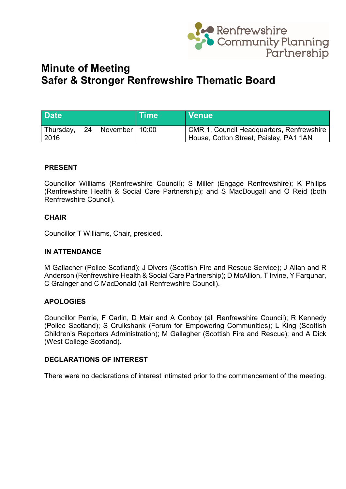

# **Minute of Meeting Safer & Stronger Renfrewshire Thematic Board**

| <b>Date</b>         |    |                    | <b>Time</b> | I Venue!                                                                              |
|---------------------|----|--------------------|-------------|---------------------------------------------------------------------------------------|
| Thursday,<br>  2016 | 24 | November   $10:00$ |             | CMR 1, Council Headquarters, Renfrewshire  <br>House, Cotton Street, Paisley, PA1 1AN |

## **PRESENT**

Councillor Williams (Renfrewshire Council); S Miller (Engage Renfrewshire); K Philips (Renfrewshire Health & Social Care Partnership); and S MacDougall and O Reid (both Renfrewshire Council).

## **CHAIR**

Councillor T Williams, Chair, presided.

#### **IN ATTENDANCE**

M Gallacher (Police Scotland); J Divers (Scottish Fire and Rescue Service); J Allan and R Anderson (Renfrewshire Health & Social Care Partnership); D McAllion, T Irvine, Y Farquhar, C Grainger and C MacDonald (all Renfrewshire Council).

## **APOLOGIES**

Councillor Perrie, F Carlin, D Mair and A Conboy (all Renfrewshire Council); R Kennedy (Police Scotland); S Cruikshank (Forum for Empowering Communities); L King (Scottish Children's Reporters Administration); M Gallagher (Scottish Fire and Rescue); and A Dick (West College Scotland).

## **DECLARATIONS OF INTEREST**

There were no declarations of interest intimated prior to the commencement of the meeting.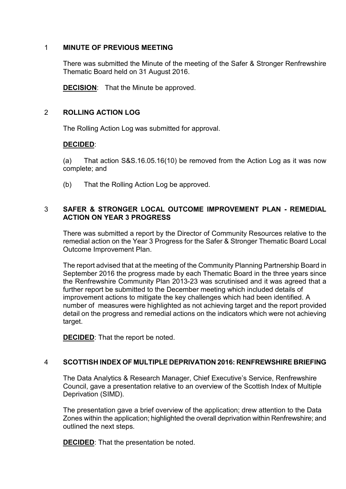## 1 **MINUTE OF PREVIOUS MEETING**

There was submitted the Minute of the meeting of the Safer & Stronger Renfrewshire Thematic Board held on 31 August 2016.

**DECISION**: That the Minute be approved.

## 2 **ROLLING ACTION LOG**

The Rolling Action Log was submitted for approval.

## **DECIDED**:

(a) That action S&S.16.05.16(10) be removed from the Action Log as it was now complete; and

(b) That the Rolling Action Log be approved.

## 3 **SAFER & STRONGER LOCAL OUTCOME IMPROVEMENT PLAN - REMEDIAL ACTION ON YEAR 3 PROGRESS**

There was submitted a report by the Director of Community Resources relative to the remedial action on the Year 3 Progress for the Safer & Stronger Thematic Board Local Outcome Improvement Plan.

The report advised that at the meeting of the Community Planning Partnership Board in September 2016 the progress made by each Thematic Board in the three years since the Renfrewshire Community Plan 2013-23 was scrutinised and it was agreed that a further report be submitted to the December meeting which included details of improvement actions to mitigate the key challenges which had been identified. A number of measures were highlighted as not achieving target and the report provided detail on the progress and remedial actions on the indicators which were not achieving target.

**DECIDED**: That the report be noted.

## 4 **SCOTTISH INDEX OF MULTIPLE DEPRIVATION 2016: RENFREWSHIRE BRIEFING**

The Data Analytics & Research Manager, Chief Executive's Service, Renfrewshire Council, gave a presentation relative to an overview of the Scottish Index of Multiple Deprivation (SIMD).

The presentation gave a brief overview of the application; drew attention to the Data Zones within the application; highlighted the overall deprivation within Renfrewshire; and outlined the next steps.

**DECIDED**: That the presentation be noted.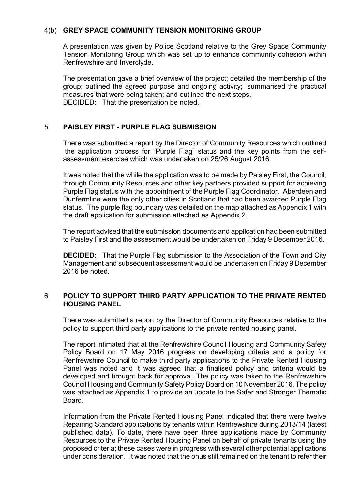#### 4(b) **GREY SPACE COMMUNITY TENSION MONITORING GROUP**

A presentation was given by Police Scotland relative to the Grey Space Community Tension Monitoring Group which was set up to enhance community cohesion within Renfrewshire and Inverclyde.

The presentation gave a brief overview of the project; detailed the membership of the group; outlined the agreed purpose and ongoing activity; summarised the practical measures that were being taken; and outlined the next steps. DECIDED: That the presentation be noted.

## 5 **PAISLEY FIRST - PURPLE FLAG SUBMISSION**

There was submitted a report by the Director of Community Resources which outlined the application process for "Purple Flag" status and the key points from the selfassessment exercise which was undertaken on 25/26 August 2016.

It was noted that the while the application was to be made by Paisley First, the Council, through Community Resources and other key partners provided support for achieving Purple Flag status with the appointment of the Purple Flag Coordinator. Aberdeen and Dunfermline were the only other cities in Scotland that had been awarded Purple Flag status. The purple flag boundary was detailed on the map attached as Appendix 1 with the draft application for submission attached as Appendix 2.

The report advised that the submission documents and application had been submitted to Paisley First and the assessment would be undertaken on Friday 9 December 2016.

**DECIDED**: That the Purple Flag submission to the Association of the Town and City Management and subsequent assessment would be undertaken on Friday 9 December 2016 be noted.

## 6 **POLICY TO SUPPORT THIRD PARTY APPLICATION TO THE PRIVATE RENTED HOUSING PANEL**

There was submitted a report by the Director of Community Resources relative to the policy to support third party applications to the private rented housing panel.

The report intimated that at the Renfrewshire Council Housing and Community Safety Policy Board on 17 May 2016 progress on developing criteria and a policy for Renfrewshire Council to make third party applications to the Private Rented Housing Panel was noted and it was agreed that a finalised policy and criteria would be developed and brought back for approval. The policy was taken to the Renfrewshire Council Housing and Community Safety Policy Board on 10 November 2016. The policy was attached as Appendix 1 to provide an update to the Safer and Stronger Thematic Board.

Information from the Private Rented Housing Panel indicated that there were twelve Repairing Standard applications by tenants within Renfrewshire during 2013/14 (latest published data). To date, there have been three applications made by Community Resources to the Private Rented Housing Panel on behalf of private tenants using the proposed criteria; these cases were in progress with several other potential applications under consideration. It was noted that the onus still remained on the tenant to refer their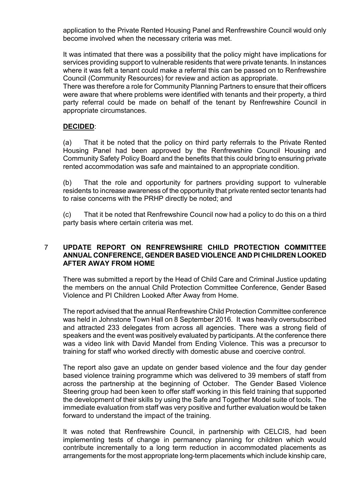application to the Private Rented Housing Panel and Renfrewshire Council would only become involved when the necessary criteria was met.

It was intimated that there was a possibility that the policy might have implications for services providing support to vulnerable residents that were private tenants. In instances where it was felt a tenant could make a referral this can be passed on to Renfrewshire Council (Community Resources) for review and action as appropriate.

There was therefore a role for Community Planning Partners to ensure that their officers were aware that where problems were identified with tenants and their property, a third party referral could be made on behalf of the tenant by Renfrewshire Council in appropriate circumstances.

## **DECIDED**:

(a) That it be noted that the policy on third party referrals to the Private Rented Housing Panel had been approved by the Renfrewshire Council Housing and Community Safety Policy Board and the benefits that this could bring to ensuring private rented accommodation was safe and maintained to an appropriate condition.

(b) That the role and opportunity for partners providing support to vulnerable residents to increase awareness of the opportunity that private rented sector tenants had to raise concerns with the PRHP directly be noted; and

(c) That it be noted that Renfrewshire Council now had a policy to do this on a third party basis where certain criteria was met.

#### 7 **UPDATE REPORT ON RENFREWSHIRE CHILD PROTECTION COMMITTEE ANNUAL CONFERENCE, GENDER BASED VIOLENCE AND PI CHILDREN LOOKED AFTER AWAY FROM HOME**

There was submitted a report by the Head of Child Care and Criminal Justice updating the members on the annual Child Protection Committee Conference, Gender Based Violence and PI Children Looked After Away from Home.

The report advised that the annual Renfrewshire Child Protection Committee conference was held in Johnstone Town Hall on 8 September 2016. It was heavily oversubscribed and attracted 233 delegates from across all agencies. There was a strong field of speakers and the event was positively evaluated by participants. At the conference there was a video link with David Mandel from Ending Violence. This was a precursor to training for staff who worked directly with domestic abuse and coercive control.

The report also gave an update on gender based violence and the four day gender based violence training programme which was delivered to 39 members of staff from across the partnership at the beginning of October. The Gender Based Violence Steering group had been keen to offer staff working in this field training that supported the development of their skills by using the Safe and Together Model suite of tools. The immediate evaluation from staff was very positive and further evaluation would be taken forward to understand the impact of the training.

It was noted that Renfrewshire Council, in partnership with CELCIS, had been implementing tests of change in permanency planning for children which would contribute incrementally to a long term reduction in accommodated placements as arrangements for the most appropriate long-term placements which include kinship care,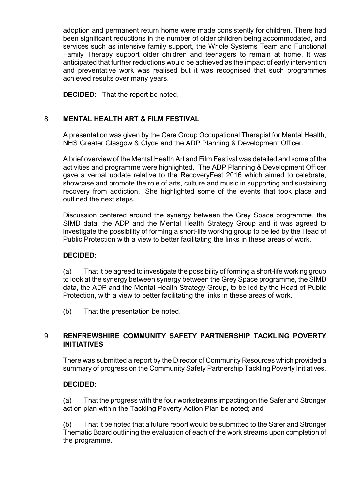adoption and permanent return home were made consistently for children. There had been significant reductions in the number of older children being accommodated, and services such as intensive family support, the Whole Systems Team and Functional Family Therapy support older children and teenagers to remain at home. It was anticipated that further reductions would be achieved as the impact of early intervention and preventative work was realised but it was recognised that such programmes achieved results over many years.

**DECIDED**: That the report be noted.

## 8 **MENTAL HEALTH ART & FILM FESTIVAL**

A presentation was given by the Care Group Occupational Therapist for Mental Health, NHS Greater Glasgow & Clyde and the ADP Planning & Development Officer.

A brief overview of the Mental Health Art and Film Festival was detailed and some of the activities and programme were highlighted. The ADP Planning & Development Officer gave a verbal update relative to the RecoveryFest 2016 which aimed to celebrate, showcase and promote the role of arts, culture and music in supporting and sustaining recovery from addiction. She highlighted some of the events that took place and outlined the next steps.

Discussion centered around the synergy between the Grey Space programme, the SIMD data, the ADP and the Mental Health Strategy Group and it was agreed to investigate the possibility of forming a short-life working group to be led by the Head of Public Protection with a view to better facilitating the links in these areas of work.

## **DECIDED**:

(a) That it be agreed to investigate the possibility of forming a short-life working group to look at the synergy between synergy between the Grey Space programme, the SIMD data, the ADP and the Mental Health Strategy Group, to be led by the Head of Public Protection, with a view to better facilitating the links in these areas of work.

(b) That the presentation be noted.

## 9 **RENFREWSHIRE COMMUNITY SAFETY PARTNERSHIP TACKLING POVERTY INITIATIVES**

There was submitted a report by the Director of Community Resources which provided a summary of progress on the Community Safety Partnership Tackling Poverty Initiatives.

## **DECIDED**:

(a) That the progress with the four workstreams impacting on the Safer and Stronger action plan within the Tackling Poverty Action Plan be noted; and

(b) That it be noted that a future report would be submitted to the Safer and Stronger Thematic Board outlining the evaluation of each of the work streams upon completion of the programme.